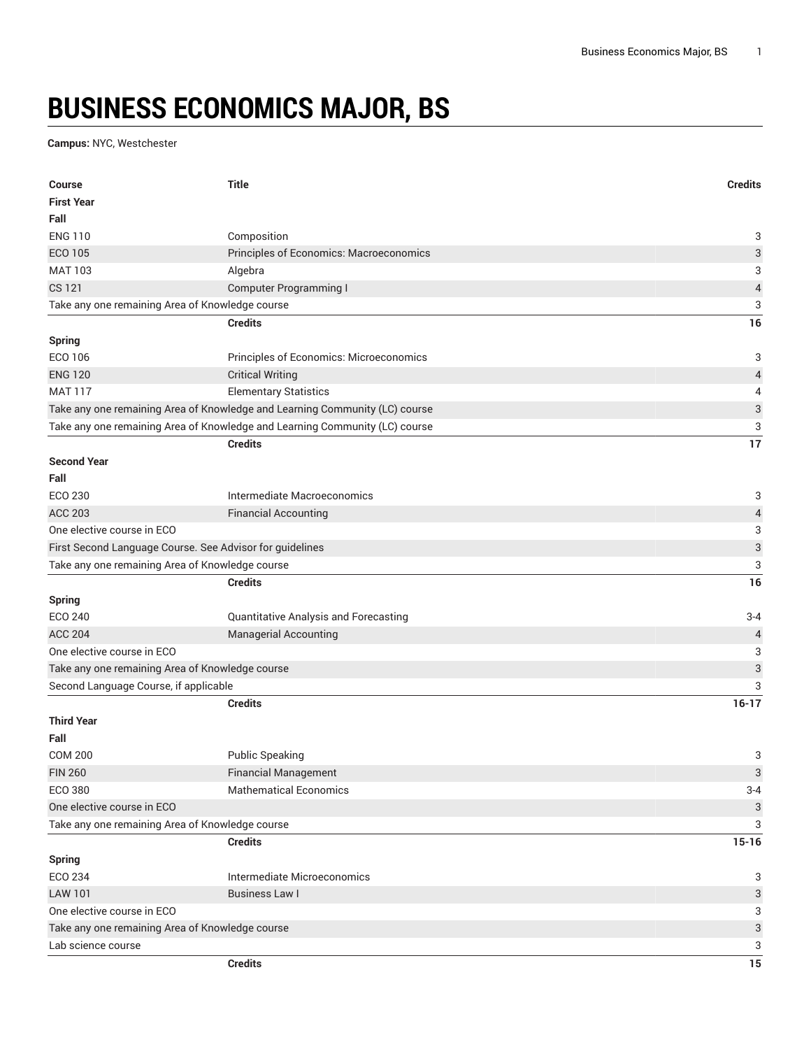## **BUSINESS ECONOMICS MAJOR, BS**

**Campus:** NYC, Westchester

| <b>Course</b>                                            | <b>Title</b>                                                                | <b>Credits</b>            |
|----------------------------------------------------------|-----------------------------------------------------------------------------|---------------------------|
| <b>First Year</b>                                        |                                                                             |                           |
| Fall                                                     |                                                                             |                           |
| <b>ENG 110</b>                                           | Composition                                                                 | 3                         |
| ECO 105                                                  | Principles of Economics: Macroeconomics                                     | 3                         |
| <b>MAT 103</b>                                           | Algebra                                                                     | 3                         |
| <b>CS 121</b>                                            | <b>Computer Programming I</b>                                               | $\sqrt{4}$                |
| Take any one remaining Area of Knowledge course          |                                                                             |                           |
|                                                          | <b>Credits</b>                                                              | 16                        |
| <b>Spring</b>                                            |                                                                             |                           |
| ECO 106                                                  | Principles of Economics: Microeconomics                                     | 3                         |
| <b>ENG 120</b>                                           | <b>Critical Writing</b>                                                     | $\overline{\mathcal{L}}$  |
| <b>MAT 117</b>                                           | <b>Elementary Statistics</b>                                                | 4                         |
|                                                          | Take any one remaining Area of Knowledge and Learning Community (LC) course | $\ensuremath{\mathsf{3}}$ |
|                                                          | Take any one remaining Area of Knowledge and Learning Community (LC) course | 3                         |
|                                                          | <b>Credits</b>                                                              | 17                        |
| <b>Second Year</b>                                       |                                                                             |                           |
| Fall                                                     |                                                                             |                           |
| ECO 230                                                  | Intermediate Macroeconomics                                                 | 3                         |
| <b>ACC 203</b>                                           | <b>Financial Accounting</b>                                                 | $\overline{a}$            |
| One elective course in ECO                               |                                                                             | 3                         |
| First Second Language Course. See Advisor for guidelines |                                                                             | $\ensuremath{\mathsf{3}}$ |
| Take any one remaining Area of Knowledge course          |                                                                             | 3                         |
|                                                          | <b>Credits</b>                                                              | 16                        |
| <b>Spring</b>                                            |                                                                             |                           |
| ECO 240                                                  | Quantitative Analysis and Forecasting                                       | $3 - 4$                   |
| <b>ACC 204</b>                                           | <b>Managerial Accounting</b>                                                | $\overline{4}$            |
| One elective course in ECO                               |                                                                             | 3                         |
| Take any one remaining Area of Knowledge course          |                                                                             | 3                         |
| Second Language Course, if applicable                    |                                                                             | 3                         |
|                                                          | <b>Credits</b>                                                              | $16 - 17$                 |
| <b>Third Year</b>                                        |                                                                             |                           |
| Fall                                                     |                                                                             |                           |
| <b>COM 200</b>                                           | <b>Public Speaking</b>                                                      | 3                         |
| <b>FIN 260</b>                                           | <b>Financial Management</b>                                                 | 3                         |
| ECO 380                                                  | <b>Mathematical Economics</b>                                               | $3 - 4$                   |
| One elective course in ECO                               |                                                                             | $\ensuremath{\mathsf{3}}$ |
| Take any one remaining Area of Knowledge course          |                                                                             | 3                         |
|                                                          | <b>Credits</b>                                                              | $15 - 16$                 |
| Spring                                                   |                                                                             |                           |
| ECO 234                                                  | Intermediate Microeconomics                                                 | 3                         |
| <b>LAW 101</b>                                           | <b>Business Law I</b>                                                       | 3                         |
| One elective course in ECO                               |                                                                             | 3                         |
| Take any one remaining Area of Knowledge course          |                                                                             | $\ensuremath{\mathsf{3}}$ |
| Lab science course                                       |                                                                             | 3                         |
|                                                          | <b>Credits</b>                                                              | 15                        |